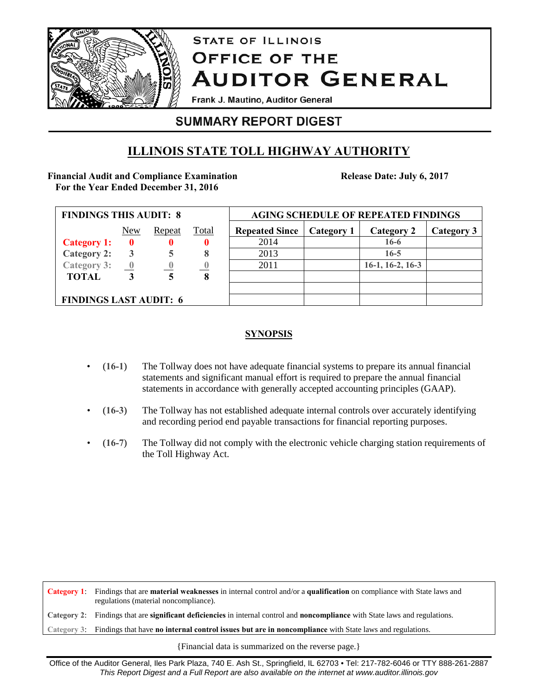

# **STATE OF ILLINOIS OFFICE OF THE AUDITOR GENERAL**

Frank J. Mautino, Auditor General

## **SUMMARY REPORT DIGEST**

## **ILLINOIS STATE TOLL HIGHWAY AUTHORITY**

#### **Financial Audit and Compliance Examination For the Year Ended December 31, 2016**

**Release Date: July 6, 2017** 

| <b>FINDINGS THIS AUDIT: 8</b> |                         |                |       | <b>AGING SCHEDULE OF REPEATED FINDINGS</b> |            |                    |            |
|-------------------------------|-------------------------|----------------|-------|--------------------------------------------|------------|--------------------|------------|
|                               | New                     | Repeat         | Total | <b>Repeated Since</b>                      | Category 1 | Category 2         | Category 3 |
| <b>Category 1:</b>            | $\mathbf{0}$            | 0              |       | 2014                                       |            | $16-6$             |            |
| <b>Category 2:</b>            | 3                       |                | 8     | 2013                                       |            | $16 - 5$           |            |
| Category 3:                   | $\overline{\mathbf{0}}$ | $\overline{0}$ |       | 2011                                       |            | $16-1, 16-2, 16-3$ |            |
| <b>TOTAL</b>                  |                         |                | 8     |                                            |            |                    |            |
|                               |                         |                |       |                                            |            |                    |            |
| <b>FINDINGS LAST AUDIT: 6</b> |                         |                |       |                                            |            |                    |            |

### **SYNOPSIS**

- (**16-1**) The Tollway does not have adequate financial systems to prepare its annual financial statements and significant manual effort is required to prepare the annual financial statements in accordance with generally accepted accounting principles (GAAP).
- (**16-3**) The Tollway has not established adequate internal controls over accurately identifying and recording period end payable transactions for financial reporting purposes.
- (**16-7**) The Tollway did not comply with the electronic vehicle charging station requirements of the Toll Highway Act.

**Category 1**: Findings that are **material weaknesses** in internal control and/or a **qualification** on compliance with State laws and regulations (material noncompliance). **Category 2**: Findings that are **significant deficiencies** in internal control and **noncompliance** with State laws and regulations. **Category 3**: Findings that have **no internal control issues but are in noncompliance** with State laws and regulations.

{Financial data is summarized on the reverse page.}

Office of the Auditor General, Iles Park Plaza, 740 E. Ash St., Springfield, IL 62703 • Tel: 217-782-6046 or TTY 888-261-2887 *This Report Digest and a Full Report are also available on the internet at www.auditor.illinois.gov*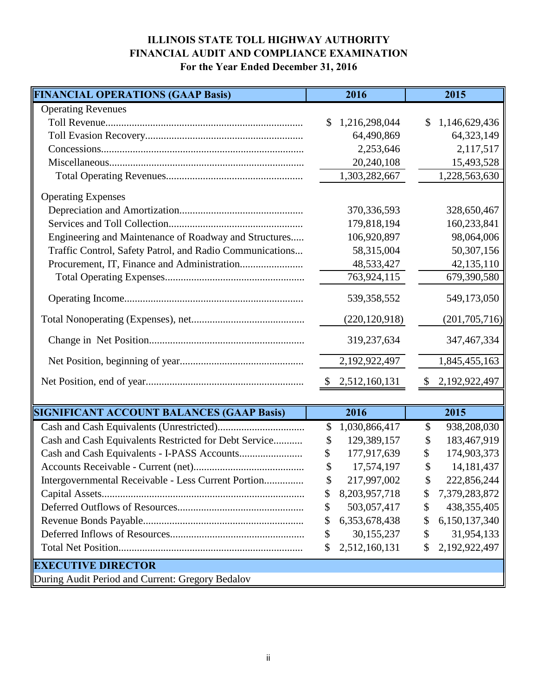### **ILLINOIS STATE TOLL HIGHWAY AUTHORITY FINANCIAL AUDIT AND COMPLIANCE EXAMINATION For the Year Ended December 31, 2016**

| <b>FINANCIAL OPERATIONS (GAAP Basis)</b>                 | 2016                | 2015                          |
|----------------------------------------------------------|---------------------|-------------------------------|
| <b>Operating Revenues</b>                                |                     |                               |
|                                                          | 1,216,298,044<br>\$ | 1,146,629,436<br>$\mathbb{S}$ |
|                                                          | 64,490,869          | 64,323,149                    |
|                                                          | 2,253,646           | 2,117,517                     |
|                                                          | 20,240,108          | 15,493,528                    |
|                                                          | 1,303,282,667       | 1,228,563,630                 |
| <b>Operating Expenses</b>                                |                     |                               |
|                                                          | 370, 336, 593       | 328,650,467                   |
|                                                          | 179,818,194         | 160,233,841                   |
| Engineering and Maintenance of Roadway and Structures    | 106,920,897         | 98,064,006                    |
| Traffic Control, Safety Patrol, and Radio Communications | 58,315,004          | 50,307,156                    |
|                                                          | 48,533,427          | 42,135,110                    |
|                                                          | 763,924,115         | 679,390,580                   |
|                                                          | 539,358,552         | 549,173,050                   |
|                                                          | (220, 120, 918)     | (201, 705, 716)               |
|                                                          | 319,237,634         | 347, 467, 334                 |
|                                                          | 2,192,922,497       | 1,845,455,163                 |
|                                                          | \$2,512,160,131     | \$2,192,922,497               |
|                                                          |                     |                               |
| <b>SIGNIFICANT ACCOUNT BALANCES (GAAP Basis)</b>         | 2016                | 2015                          |
|                                                          | 1,030,866,417<br>\$ | 938,208,030<br>\$             |
| Cash and Cash Equivalents Restricted for Debt Service    | 129,389,157<br>\$   | 183,467,919<br>\$             |
|                                                          | 177,917,639<br>\$   | 174,903,373<br>\$             |
|                                                          | 17,574,197<br>\$    | 14, 181, 437<br>\$            |
| Intergovernmental Receivable - Less Current Portion      | 217,997,002<br>\$   | 222,856,244<br>\$             |
|                                                          | 8,203,957,718<br>\$ | 7,379,283,872<br>\$           |
|                                                          | 503,057,417<br>\$   | 438, 355, 405<br>\$           |
|                                                          | 6,353,678,438<br>\$ | 6,150,137,340<br>\$           |
|                                                          | 30,155,237<br>\$    | 31,954,133<br>\$              |
|                                                          | 2,512,160,131<br>\$ | 2,192,922,497<br>\$           |
| <b>EXECUTIVE DIRECTOR</b>                                |                     |                               |
| During Audit Period and Current: Gregory Bedalov         |                     |                               |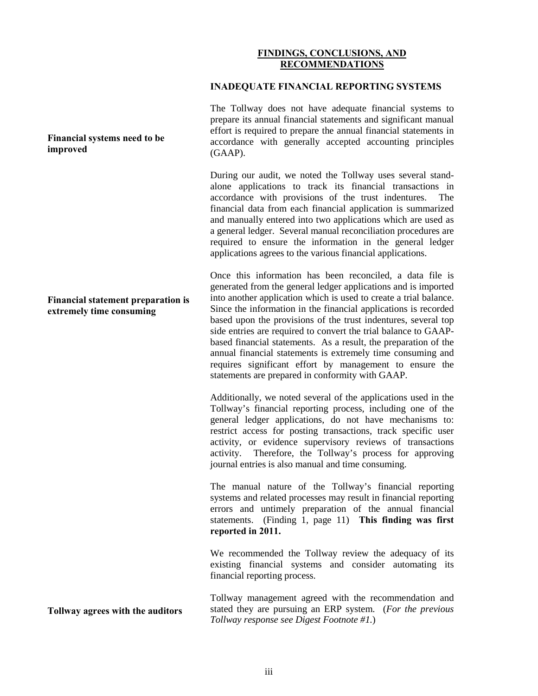#### **FINDINGS, CONCLUSIONS, AND RECOMMENDATIONS**

#### **INADEQUATE FINANCIAL REPORTING SYSTEMS**

The Tollway does not have adequate financial systems to prepare its annual financial statements and significant manual effort is required to prepare the annual financial statements in accordance with generally accepted accounting principles (GAAP).

During our audit, we noted the Tollway uses several standalone applications to track its financial transactions in accordance with provisions of the trust indentures. The financial data from each financial application is summarized and manually entered into two applications which are used as a general ledger. Several manual reconciliation procedures are required to ensure the information in the general ledger applications agrees to the various financial applications.

Once this information has been reconciled, a data file is generated from the general ledger applications and is imported into another application which is used to create a trial balance. Since the information in the financial applications is recorded based upon the provisions of the trust indentures, several top side entries are required to convert the trial balance to GAAPbased financial statements. As a result, the preparation of the annual financial statements is extremely time consuming and requires significant effort by management to ensure the statements are prepared in conformity with GAAP.

Additionally, we noted several of the applications used in the Tollway's financial reporting process, including one of the general ledger applications, do not have mechanisms to: restrict access for posting transactions, track specific user activity, or evidence supervisory reviews of transactions activity. Therefore, the Tollway's process for approving journal entries is also manual and time consuming.

The manual nature of the Tollway's financial reporting systems and related processes may result in financial reporting errors and untimely preparation of the annual financial statements. (Finding 1, page 11) **This finding was first reported in 2011.**

We recommended the Tollway review the adequacy of its existing financial systems and consider automating its financial reporting process.

Tollway management agreed with the recommendation and stated they are pursuing an ERP system. (*For the previous Tollway response see Digest Footnote #1.*)

**Financial systems need to be improved** 

**Financial statement preparation is extremely time consuming**

**Tollway agrees with the auditors**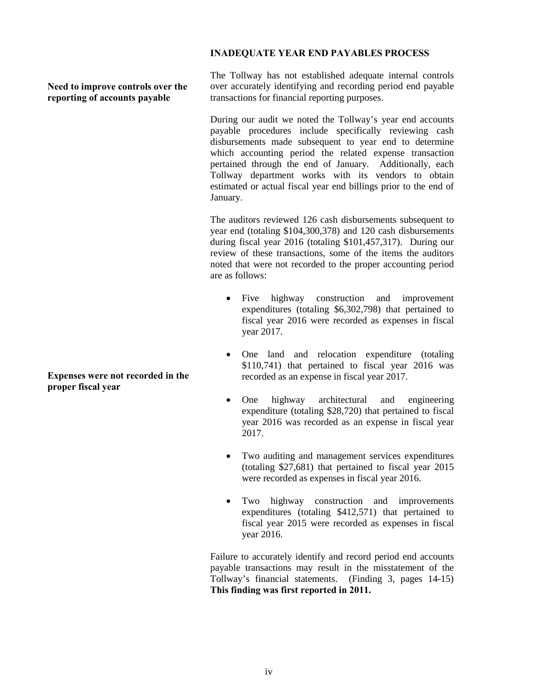#### **INADEQUATE YEAR END PAYABLES PROCESS**

**Need to improve controls over the reporting of accounts payable**

The Tollway has not established adequate internal controls over accurately identifying and recording period end payable transactions for financial reporting purposes.

During our audit we noted the Tollway's year end accounts payable procedures include specifically reviewing cash disbursements made subsequent to year end to determine which accounting period the related expense transaction pertained through the end of January. Additionally, each Tollway department works with its vendors to obtain estimated or actual fiscal year end billings prior to the end of January.

The auditors reviewed 126 cash disbursements subsequent to year end (totaling \$104,300,378) and 120 cash disbursements during fiscal year 2016 (totaling \$101,457,317). During our review of these transactions, some of the items the auditors noted that were not recorded to the proper accounting period are as follows:

- Five highway construction and improvement expenditures (totaling \$6,302,798) that pertained to fiscal year 2016 were recorded as expenses in fiscal year 2017.
- One land and relocation expenditure (totaling \$110,741) that pertained to fiscal year 2016 was recorded as an expense in fiscal year 2017.
- One highway architectural and engineering expenditure (totaling \$28,720) that pertained to fiscal year 2016 was recorded as an expense in fiscal year 2017.
- Two auditing and management services expenditures (totaling \$27,681) that pertained to fiscal year 2015 were recorded as expenses in fiscal year 2016.
- Two highway construction and improvements expenditures (totaling \$412,571) that pertained to fiscal year 2015 were recorded as expenses in fiscal year 2016.

Failure to accurately identify and record period end accounts payable transactions may result in the misstatement of the Tollway's financial statements. (Finding 3, pages 14-15) **This finding was first reported in 2011.**

**Expenses were not recorded in the proper fiscal year**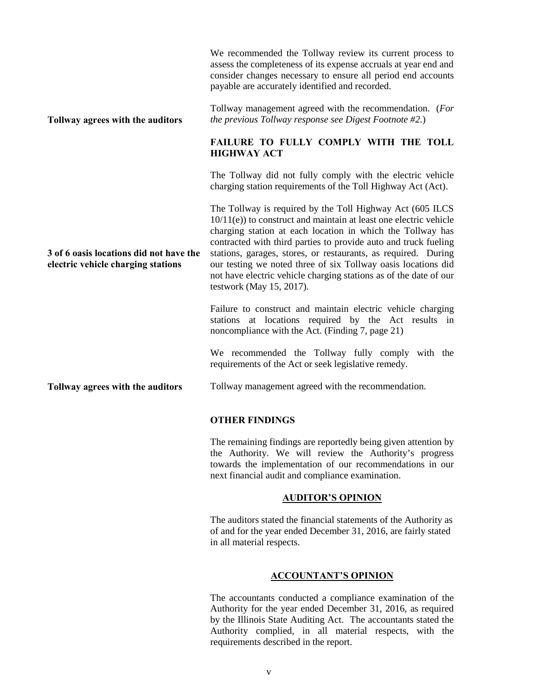|                                                                               | We recommended the Tollway review its current process to<br>assess the completeness of its expense accruals at year end and<br>consider changes necessary to ensure all period end accounts<br>payable are accurately identified and recorded.                                                                                                                                                                                                                                                            |  |  |
|-------------------------------------------------------------------------------|-----------------------------------------------------------------------------------------------------------------------------------------------------------------------------------------------------------------------------------------------------------------------------------------------------------------------------------------------------------------------------------------------------------------------------------------------------------------------------------------------------------|--|--|
| Tollway agrees with the auditors                                              | Tollway management agreed with the recommendation. (For<br>the previous Tollway response see Digest Footnote $#2$ .)                                                                                                                                                                                                                                                                                                                                                                                      |  |  |
|                                                                               | FAILURE TO FULLY COMPLY WITH THE TOLL<br><b>HIGHWAY ACT</b>                                                                                                                                                                                                                                                                                                                                                                                                                                               |  |  |
|                                                                               | The Tollway did not fully comply with the electric vehicle<br>charging station requirements of the Toll Highway Act (Act).                                                                                                                                                                                                                                                                                                                                                                                |  |  |
| 3 of 6 oasis locations did not have the<br>electric vehicle charging stations | The Tollway is required by the Toll Highway Act (605 ILCS<br>$10/11(e)$ ) to construct and maintain at least one electric vehicle<br>charging station at each location in which the Tollway has<br>contracted with third parties to provide auto and truck fueling<br>stations, garages, stores, or restaurants, as required. During<br>our testing we noted three of six Tollway oasis locations did<br>not have electric vehicle charging stations as of the date of our<br>testwork (May $15$ , 2017). |  |  |
|                                                                               | Failure to construct and maintain electric vehicle charging<br>stations at locations required by the Act results in<br>noncompliance with the Act. (Finding 7, page 21)                                                                                                                                                                                                                                                                                                                                   |  |  |
|                                                                               | We recommended the Tollway fully comply with the<br>requirements of the Act or seek legislative remedy.                                                                                                                                                                                                                                                                                                                                                                                                   |  |  |
| Tollway agrees with the auditors                                              | Tollway management agreed with the recommendation.                                                                                                                                                                                                                                                                                                                                                                                                                                                        |  |  |
|                                                                               | <b>OTHER FINDINGS</b>                                                                                                                                                                                                                                                                                                                                                                                                                                                                                     |  |  |

The remaining findings are reportedly being given attention by the Authority. We will review the Authority's progress towards the implementation of our recommendations in our next financial audit and compliance examination.

#### **AUDITOR'S OPINION**

The auditors stated the financial statements of the Authority as of and for the year ended December 31, 2016, are fairly stated in all material respects.

#### **ACCOUNTANT'S OPINION**

The accountants conducted a compliance examination of the Authority for the year ended December 31, 2016, as required by the Illinois State Auditing Act. The accountants stated the Authority complied, in all material respects, with the requirements described in the report.